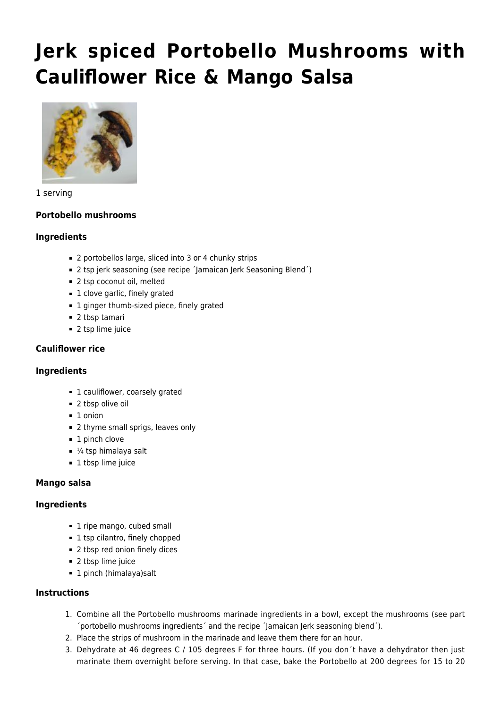# **[Jerk spiced Portobello Mushrooms with](https://vitaliseportugal.nl/2021/12/15/jerk-spiced-portobello-mushrooms-with-cauliflower-rice-mango-salsa/?lang=en) [Cauliflower Rice & Mango Salsa](https://vitaliseportugal.nl/2021/12/15/jerk-spiced-portobello-mushrooms-with-cauliflower-rice-mango-salsa/?lang=en)**



#### 1 serving

## **Portobello mushrooms**

#### **Ingredients**

- 2 portobellos large, sliced into 3 or 4 chunky strips
- 2 tsp jerk seasoning (see recipe ´Jamaican Jerk Seasoning Blend´)
- 2 tsp coconut oil, melted
- 1 clove garlic, finely grated
- **1** ginger thumb-sized piece, finely grated
- 2 tbsp tamari
- 2 tsp lime juice

## **Cauliflower rice**

## **Ingredients**

- 1 cauliflower, coarsely grated
- 2 tbsp olive oil
- $\blacksquare$  1 onion
- 2 thyme small sprigs, leaves only
- 1 pinch clove
- $\blacksquare$  1/<sub>4</sub> tsp himalaya salt
- 1 tbsp lime juice

## **Mango salsa**

## **Ingredients**

- 1 ripe mango, cubed small
- 1 tsp cilantro, finely chopped
- 2 tbsp red onion finely dices
- 2 tbsp lime juice
- 1 pinch (himalaya)salt

## **Instructions**

- 1. Combine all the Portobello mushrooms marinade ingredients in a bowl, except the mushrooms (see part ´portobello mushrooms ingredients´ and the recipe ´Jamaican Jerk seasoning blend´).
- 2. Place the strips of mushroom in the marinade and leave them there for an hour.
- 3. Dehydrate at 46 degrees C / 105 degrees F for three hours. (If you don´t have a dehydrator then just marinate them overnight before serving. In that case, bake the Portobello at 200 degrees for 15 to 20